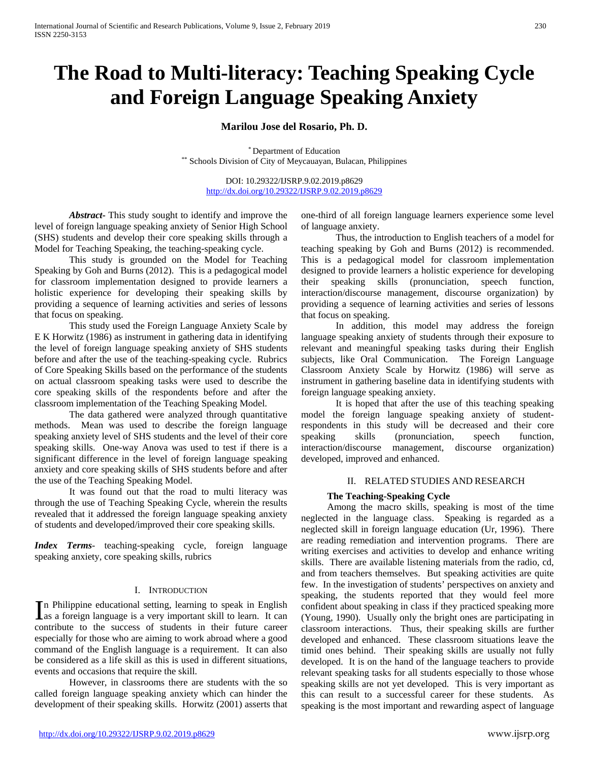# **The Road to Multi-literacy: Teaching Speaking Cycle and Foreign Language Speaking Anxiety**

# **Marilou Jose del Rosario, Ph. D.**

\* Department of Education \*\* Schools Division of City of Meycauayan, Bulacan, Philippines

DOI: 10.29322/IJSRP.9.02.2019.p8629 <http://dx.doi.org/10.29322/IJSRP.9.02.2019.p8629>

*Abstract***-** This study sought to identify and improve the level of foreign language speaking anxiety of Senior High School (SHS) students and develop their core speaking skills through a Model for Teaching Speaking, the teaching-speaking cycle.

This study is grounded on the Model for Teaching Speaking by Goh and Burns (2012). This is a pedagogical model for classroom implementation designed to provide learners a holistic experience for developing their speaking skills by providing a sequence of learning activities and series of lessons that focus on speaking.

This study used the Foreign Language Anxiety Scale by E K Horwitz (1986) as instrument in gathering data in identifying the level of foreign language speaking anxiety of SHS students before and after the use of the teaching-speaking cycle. Rubrics of Core Speaking Skills based on the performance of the students on actual classroom speaking tasks were used to describe the core speaking skills of the respondents before and after the classroom implementation of the Teaching Speaking Model.

The data gathered were analyzed through quantitative methods. Mean was used to describe the foreign language speaking anxiety level of SHS students and the level of their core speaking skills. One-way Anova was used to test if there is a significant difference in the level of foreign language speaking anxiety and core speaking skills of SHS students before and after the use of the Teaching Speaking Model.

It was found out that the road to multi literacy was through the use of Teaching Speaking Cycle, wherein the results revealed that it addressed the foreign language speaking anxiety of students and developed/improved their core speaking skills.

*Index Terms*- teaching-speaking cycle, foreign language speaking anxiety, core speaking skills, rubrics

## I. INTRODUCTION

n Philippine educational setting, learning to speak in English In Philippine educational setting, learning to speak in English<br>as a foreign language is a very important skill to learn. It can contribute to the success of students in their future career especially for those who are aiming to work abroad where a good command of the English language is a requirement. It can also be considered as a life skill as this is used in different situations, events and occasions that require the skill.

However, in classrooms there are students with the so called foreign language speaking anxiety which can hinder the development of their speaking skills. Horwitz (2001) asserts that one-third of all foreign language learners experience some level of language anxiety.

Thus, the introduction to English teachers of a model for teaching speaking by Goh and Burns (2012) is recommended. This is a pedagogical model for classroom implementation designed to provide learners a holistic experience for developing their speaking skills (pronunciation, speech function, interaction/discourse management, discourse organization) by providing a sequence of learning activities and series of lessons that focus on speaking.

In addition, this model may address the foreign language speaking anxiety of students through their exposure to relevant and meaningful speaking tasks during their English subjects, like Oral Communication. The Foreign Language Classroom Anxiety Scale by Horwitz (1986) will serve as instrument in gathering baseline data in identifying students with foreign language speaking anxiety.

It is hoped that after the use of this teaching speaking model the foreign language speaking anxiety of studentrespondents in this study will be decreased and their core speaking skills (pronunciation, speech function, interaction/discourse management, discourse organization) developed, improved and enhanced.

## II. RELATED STUDIES AND RESEARCH

## **The Teaching-Speaking Cycle**

Among the macro skills, speaking is most of the time neglected in the language class. Speaking is regarded as a neglected skill in foreign language education (Ur, 1996). There are reading remediation and intervention programs. There are writing exercises and activities to develop and enhance writing skills. There are available listening materials from the radio, cd, and from teachers themselves. But speaking activities are quite few. In the investigation of students' perspectives on anxiety and speaking, the students reported that they would feel more confident about speaking in class if they practiced speaking more (Young, 1990). Usually only the bright ones are participating in classroom interactions. Thus, their speaking skills are further developed and enhanced. These classroom situations leave the timid ones behind. Their speaking skills are usually not fully developed. It is on the hand of the language teachers to provide relevant speaking tasks for all students especially to those whose speaking skills are not yet developed. This is very important as this can result to a successful career for these students. As speaking is the most important and rewarding aspect of language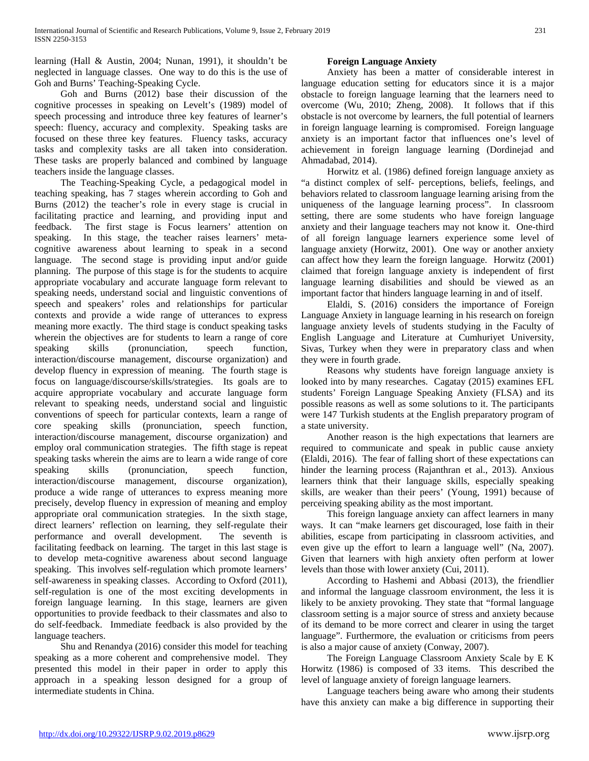learning (Hall & Austin, 2004; Nunan, 1991), it shouldn't be neglected in language classes. One way to do this is the use of Goh and Burns' Teaching-Speaking Cycle.

Goh and Burns (2012) base their discussion of the cognitive processes in speaking on Levelt's (1989) model of speech processing and introduce three key features of learner's speech: fluency, accuracy and complexity. Speaking tasks are focused on these three key features. Fluency tasks, accuracy tasks and complexity tasks are all taken into consideration. These tasks are properly balanced and combined by language teachers inside the language classes.

The Teaching-Speaking Cycle, a pedagogical model in teaching speaking, has 7 stages wherein according to Goh and Burns (2012) the teacher's role in every stage is crucial in facilitating practice and learning, and providing input and feedback. The first stage is Focus learners' attention on speaking. In this stage, the teacher raises learners' metacognitive awareness about learning to speak in a second language. The second stage is providing input and/or guide planning. The purpose of this stage is for the students to acquire appropriate vocabulary and accurate language form relevant to speaking needs, understand social and linguistic conventions of speech and speakers' roles and relationships for particular contexts and provide a wide range of utterances to express meaning more exactly. The third stage is conduct speaking tasks wherein the objectives are for students to learn a range of core speaking skills (pronunciation, speech function, interaction/discourse management, discourse organization) and develop fluency in expression of meaning. The fourth stage is focus on language/discourse/skills/strategies. Its goals are to acquire appropriate vocabulary and accurate language form relevant to speaking needs, understand social and linguistic conventions of speech for particular contexts, learn a range of core speaking skills (pronunciation, speech function, interaction/discourse management, discourse organization) and employ oral communication strategies. The fifth stage is repeat speaking tasks wherein the aims are to learn a wide range of core speaking skills (pronunciation, speech function, interaction/discourse management, discourse organization), produce a wide range of utterances to express meaning more precisely, develop fluency in expression of meaning and employ appropriate oral communication strategies. In the sixth stage, direct learners' reflection on learning, they self-regulate their performance and overall development. The seventh is facilitating feedback on learning. The target in this last stage is to develop meta-cognitive awareness about second language speaking. This involves self-regulation which promote learners' self-awareness in speaking classes. According to Oxford (2011), self-regulation is one of the most exciting developments in foreign language learning. In this stage, learners are given opportunities to provide feedback to their classmates and also to do self-feedback. Immediate feedback is also provided by the language teachers.

Shu and Renandya (2016) consider this model for teaching speaking as a more coherent and comprehensive model. They presented this model in their paper in order to apply this approach in a speaking lesson designed for a group of intermediate students in China.

# **Foreign Language Anxiety**

Anxiety has been a matter of considerable interest in language education setting for educators since it is a major obstacle to foreign language learning that the learners need to overcome (Wu, 2010; Zheng, 2008). It follows that if this obstacle is not overcome by learners, the full potential of learners in foreign language learning is compromised. Foreign language anxiety is an important factor that influences one's level of achievement in foreign language learning (Dordinejad and Ahmadabad, 2014).

Horwitz et al. (1986) defined foreign language anxiety as "a distinct complex of self- perceptions, beliefs, feelings, and behaviors related to classroom language learning arising from the uniqueness of the language learning process". In classroom setting, there are some students who have foreign language anxiety and their language teachers may not know it. One-third of all foreign language learners experience some level of language anxiety (Horwitz, 2001). One way or another anxiety can affect how they learn the foreign language. Horwitz (2001) claimed that foreign language anxiety is independent of first language learning disabilities and should be viewed as an important factor that hinders language learning in and of itself.

Elaldi, S. (2016) considers the importance of Foreign Language Anxiety in language learning in his research on foreign language anxiety levels of students studying in the Faculty of English Language and Literature at Cumhuriyet University, Sivas, Turkey when they were in preparatory class and when they were in fourth grade.

Reasons why students have foreign language anxiety is looked into by many researches. Cagatay (2015) examines EFL students' Foreign Language Speaking Anxiety (FLSA) and its possible reasons as well as some solutions to it. The participants were 147 Turkish students at the English preparatory program of a state university.

Another reason is the high expectations that learners are required to communicate and speak in public cause anxiety (Elaldi, 2016). The fear of falling short of these expectations can hinder the learning process (Rajanthran et al., 2013). Anxious learners think that their language skills, especially speaking skills, are weaker than their peers' (Young, 1991) because of perceiving speaking ability as the most important.

This foreign language anxiety can affect learners in many ways. It can "make learners get discouraged, lose faith in their abilities, escape from participating in classroom activities, and even give up the effort to learn a language well" (Na, 2007). Given that learners with high anxiety often perform at lower levels than those with lower anxiety (Cui, 2011).

According to Hashemi and Abbasi (2013), the friendlier and informal the language classroom environment, the less it is likely to be anxiety provoking. They state that "formal language classroom setting is a major source of stress and anxiety because of its demand to be more correct and clearer in using the target language". Furthermore, the evaluation or criticisms from peers is also a major cause of anxiety (Conway, 2007).

The Foreign Language Classroom Anxiety Scale by E K Horwitz (1986) is composed of 33 items. This described the level of language anxiety of foreign language learners.

Language teachers being aware who among their students have this anxiety can make a big difference in supporting their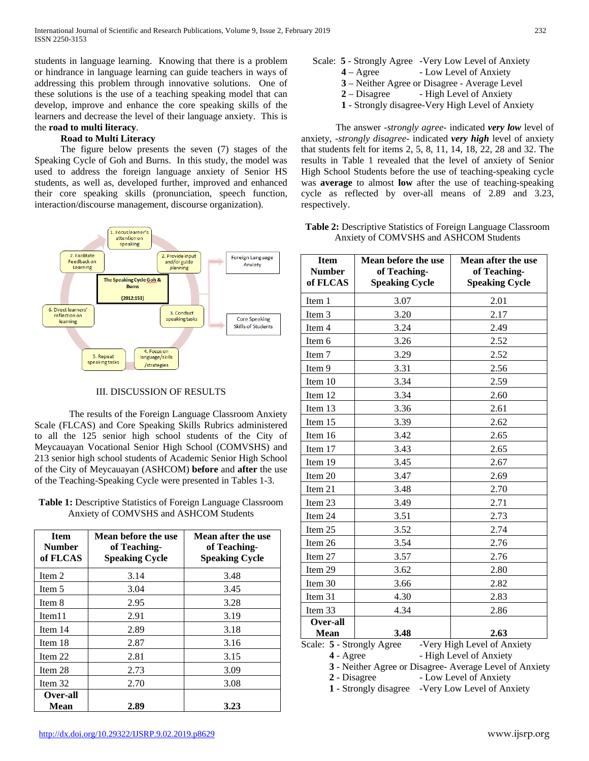students in language learning. Knowing that there is a problem or hindrance in language learning can guide teachers in ways of addressing this problem through innovative solutions. One of these solutions is the use of a teaching speaking model that can develop, improve and enhance the core speaking skills of the learners and decrease the level of their language anxiety. This is the **road to multi literacy**.

## **Road to Multi Literacy**

The figure below presents the seven (7) stages of the Speaking Cycle of Goh and Burns. In this study, the model was used to address the foreign language anxiety of Senior HS students, as well as, developed further, improved and enhanced their core speaking skills (pronunciation, speech function, interaction/discourse management, discourse organization).



# III. DISCUSSION OF RESULTS

The results of the Foreign Language Classroom Anxiety Scale (FLCAS) and Core Speaking Skills Rubrics administered to all the 125 senior high school students of the City of Meycauayan Vocational Senior High School (COMVSHS) and 213 senior high school students of Academic Senior High School of the City of Meycauayan (ASHCOM) **before** and **after** the use of the Teaching-Speaking Cycle were presented in Tables 1-3.

**Table 1:** Descriptive Statistics of Foreign Language Classroom Anxiety of COMVSHS and ASHCOM Students

| <b>Item</b><br>Number<br>of FLCAS | Mean before the use<br>of Teaching-<br><b>Speaking Cycle</b> | Mean after the use<br>of Teaching-<br><b>Speaking Cycle</b> |
|-----------------------------------|--------------------------------------------------------------|-------------------------------------------------------------|
| Item 2                            | 3.14                                                         | 3.48                                                        |
| Item 5                            | 3.04                                                         | 3.45                                                        |
| Item 8                            | 2.95                                                         | 3.28                                                        |
| Item11                            | 2.91                                                         | 3.19                                                        |
| Item 14                           | 2.89                                                         | 3.18                                                        |
| Item 18                           | 2.87                                                         | 3.16                                                        |
| Item 22                           | 2.81                                                         | 3.15                                                        |
| Item 28                           | 2.73                                                         | 3.09                                                        |
| Item 32                           | 2.70                                                         | 3.08                                                        |
| Over-all<br>Mean                  | 2.89                                                         | 3.23                                                        |

- Scale: **5** Strongly Agree -Very Low Level of Anxiety
	- **4** Agree Low Level of Anxiety
		- **3** Neither Agree or Disagree Average Level
		- 2 Disagree High Level of Anxiety
		- **1** Strongly disagree-Very High Level of Anxiety

The answer -*strongly agree*- indicated *very low* level of anxiety, -*strongly disagree*- indicated *very high* level of anxiety that students felt for items 2, 5, 8, 11, 14, 18, 22, 28 and 32. The results in Table 1 revealed that the level of anxiety of Senior High School Students before the use of teaching-speaking cycle was **average** to almost **low** after the use of teaching-speaking cycle as reflected by over-all means of 2.89 and 3.23, respectively.

# **Table 2:** Descriptive Statistics of Foreign Language Classroom Anxiety of COMVSHS and ASHCOM Students

| <b>Item</b><br><b>Number</b><br>of FLCAS | Mean before the use<br>of Teaching-<br><b>Speaking Cycle</b> | Mean after the use<br>of Teaching-<br><b>Speaking Cycle</b> |
|------------------------------------------|--------------------------------------------------------------|-------------------------------------------------------------|
| Item 1                                   | 3.07                                                         | 2.01                                                        |
| Item 3                                   | 3.20                                                         | 2.17                                                        |
| Item 4                                   | 3.24                                                         | 2.49                                                        |
| Item 6                                   | 3.26                                                         | 2.52                                                        |
| Item 7                                   | 3.29                                                         | 2.52                                                        |
| Item 9                                   | 3.31                                                         | 2.56                                                        |
| Item 10                                  | 3.34                                                         | 2.59                                                        |
| Item 12                                  | 3.34                                                         | 2.60                                                        |
| Item 13                                  | 3.36                                                         | 2.61                                                        |
| Item 15                                  | 3.39                                                         | 2.62                                                        |
| Item 16                                  | 3.42                                                         | 2.65                                                        |
| Item 17                                  | 3.43                                                         | 2.65                                                        |
| Item 19                                  | 3.45                                                         | 2.67                                                        |
| Item 20                                  | 3.47                                                         | 2.69                                                        |
| Item 21                                  | 3.48                                                         | 2.70                                                        |
| Item 23                                  | 3.49                                                         | 2.71                                                        |
| Item 24                                  | 3.51                                                         | 2.73                                                        |
| Item 25                                  | 3.52                                                         | 2.74                                                        |
| Item 26                                  | 3.54                                                         | 2.76                                                        |
| Item 27                                  | 3.57                                                         | 2.76                                                        |
| Item 29                                  | 3.62                                                         | 2.80                                                        |
| Item 30                                  | 3.66                                                         | 2.82                                                        |
| Item 31                                  | 4.30                                                         | 2.83                                                        |
| Item 33                                  | 4.34                                                         | 2.86                                                        |
| Over-all                                 |                                                              |                                                             |
| Mean<br>Scale: 5 - Strongly Agree        | 3.48                                                         | 2.63<br>-Very High Level of Anxiety                         |

- **4** Agree High Level of Anxiety
- **3** Neither Agree or Disagree- Average Level of Anxiety

2 - Disagree - Low Level of Anxiety

 **1** - Strongly disagree -Very Low Level of Anxiety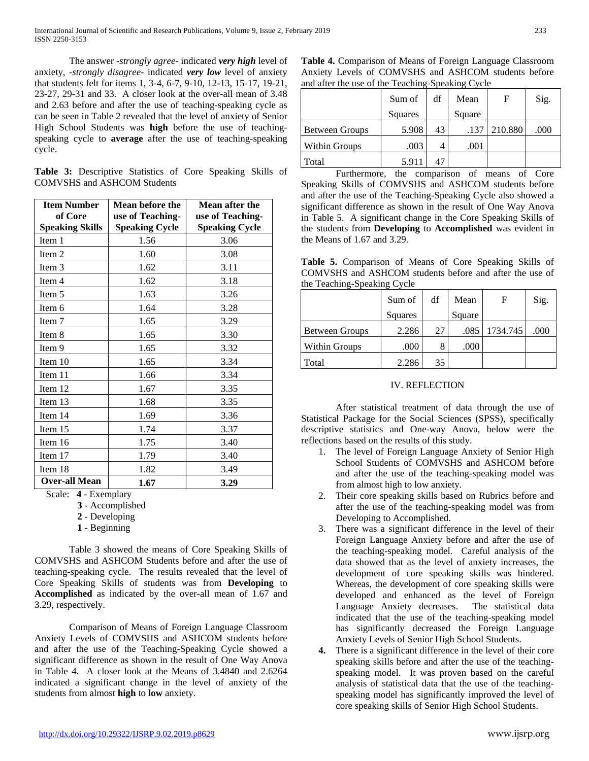The answer -*strongly agree*- indicated *very high* level of anxiety, -*strongly disagree*- indicated *very low* level of anxiety that students felt for items 1, 3-4, 6-7, 9-10, 12-13, 15-17, 19-21, 23-27, 29-31 and 33. A closer look at the over-all mean of 3.48 and 2.63 before and after the use of teaching-speaking cycle as can be seen in Table 2 revealed that the level of anxiety of Senior High School Students was **high** before the use of teachingspeaking cycle to **average** after the use of teaching-speaking cycle.

|  | Table 3: Descriptive Statistics of Core Speaking Skills of |  |  |  |
|--|------------------------------------------------------------|--|--|--|
|  | <b>COMVSHS and ASHCOM Students</b>                         |  |  |  |

| <b>Item Number</b>     | Mean before the       | Mean after the        |
|------------------------|-----------------------|-----------------------|
| of Core                | use of Teaching-      | use of Teaching-      |
| <b>Speaking Skills</b> | <b>Speaking Cycle</b> | <b>Speaking Cycle</b> |
| Item 1                 | 1.56                  | 3.06                  |
| Item 2                 | 1.60                  | 3.08                  |
| Item 3                 | 1.62                  | 3.11                  |
| Item 4                 | 1.62                  | 3.18                  |
| Item 5                 | 1.63                  | 3.26                  |
| Item 6                 | 1.64                  | 3.28                  |
| Item 7                 | 1.65                  | 3.29                  |
| Item 8                 | 1.65                  | 3.30                  |
| Item 9                 | 1.65                  | 3.32                  |
| Item $10$              | 1.65                  | 3.34                  |
| Item 11                | 1.66                  | 3.34                  |
| Item 12                | 1.67                  | 3.35                  |
| Item 13                | 1.68                  | 3.35                  |
| Item 14                | 1.69                  | 3.36                  |
| Item 15                | 1.74                  | 3.37                  |
| Item 16                | 1.75                  | 3.40                  |
| Item 17                | 1.79                  | 3.40                  |
| Item 18                | 1.82                  | 3.49                  |
| Over-all Mean          | 1.67                  | 3.29                  |

Scale: **4** - Exemplary

- **3** Accomplished
- **2** Developing
- **1** Beginning

Table 3 showed the means of Core Speaking Skills of COMVSHS and ASHCOM Students before and after the use of teaching-speaking cycle. The results revealed that the level of Core Speaking Skills of students was from **Developing** to **Accomplished** as indicated by the over-all mean of 1.67 and 3.29, respectively.

Comparison of Means of Foreign Language Classroom Anxiety Levels of COMVSHS and ASHCOM students before and after the use of the Teaching-Speaking Cycle showed a significant difference as shown in the result of One Way Anova in Table 4. A closer look at the Means of 3.4840 and 2.6264 indicated a significant change in the level of anxiety of the students from almost **high** to **low** anxiety.

**Table 4.** Comparison of Means of Foreign Language Classroom Anxiety Levels of COMVSHS and ASHCOM students before and after the use of the Teaching-Speaking Cycle

|                       | Sum of  | df | Mean   | F       | Sig. |
|-----------------------|---------|----|--------|---------|------|
|                       | Squares |    | Square |         |      |
| <b>Between Groups</b> | 5.908   | 43 | .137   | 210.880 | .000 |
| <b>Within Groups</b>  | .003    |    | .001   |         |      |
| Total                 | 5.911   | 47 |        |         |      |

Furthermore, the comparison of means of Core Speaking Skills of COMVSHS and ASHCOM students before and after the use of the Teaching-Speaking Cycle also showed a significant difference as shown in the result of One Way Anova in Table 5. A significant change in the Core Speaking Skills of the students from **Developing** to **Accomplished** was evident in the Means of 1.67 and 3.29.

**Table 5.** Comparison of Means of Core Speaking Skills of COMVSHS and ASHCOM students before and after the use of the Teaching-Speaking Cycle

|                       | Sum of         | df | Mean   | F        | Sig. |
|-----------------------|----------------|----|--------|----------|------|
|                       | <b>Squares</b> |    | Square |          |      |
| <b>Between Groups</b> | 2.286          | 27 | .085   | 1734.745 | .000 |
| <b>Within Groups</b>  | .000           |    | .000   |          |      |
| Total                 | 2.286          | 35 |        |          |      |

# IV. REFLECTION

After statistical treatment of data through the use of Statistical Package for the Social Sciences (SPSS), specifically descriptive statistics and One-way Anova, below were the reflections based on the results of this study.

- 1. The level of Foreign Language Anxiety of Senior High School Students of COMVSHS and ASHCOM before and after the use of the teaching-speaking model was from almost high to low anxiety.
- 2. Their core speaking skills based on Rubrics before and after the use of the teaching-speaking model was from Developing to Accomplished.
- 3. There was a significant difference in the level of their Foreign Language Anxiety before and after the use of the teaching-speaking model. Careful analysis of the data showed that as the level of anxiety increases, the development of core speaking skills was hindered. Whereas, the development of core speaking skills were developed and enhanced as the level of Foreign Language Anxiety decreases. The statistical data indicated that the use of the teaching-speaking model has significantly decreased the Foreign Language Anxiety Levels of Senior High School Students.
- **4.** There is a significant difference in the level of their core speaking skills before and after the use of the teachingspeaking model. It was proven based on the careful analysis of statistical data that the use of the teachingspeaking model has significantly improved the level of core speaking skills of Senior High School Students.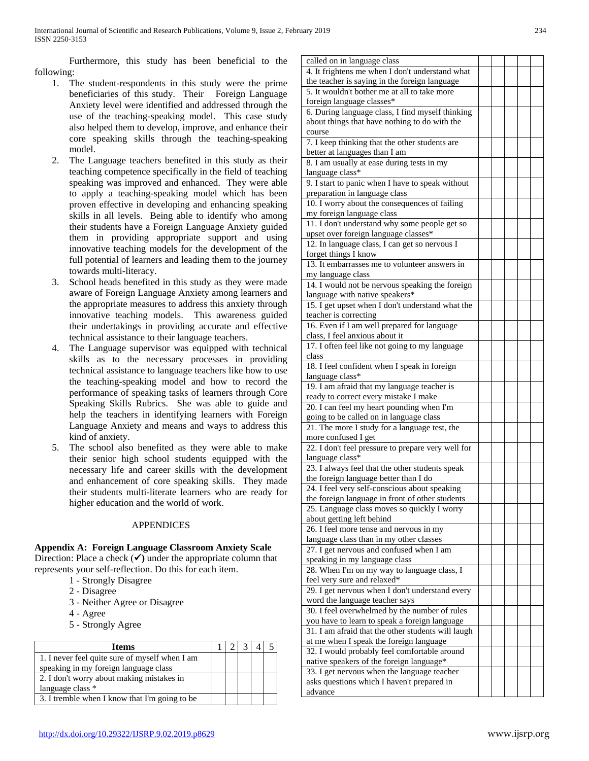Furthermore, this study has been beneficial to the following:

- 1. The student-respondents in this study were the prime beneficiaries of this study. Their Foreign Language Anxiety level were identified and addressed through the use of the teaching-speaking model. This case study also helped them to develop, improve, and enhance their core speaking skills through the teaching-speaking model.
- 2. The Language teachers benefited in this study as their teaching competence specifically in the field of teaching speaking was improved and enhanced. They were able to apply a teaching-speaking model which has been proven effective in developing and enhancing speaking skills in all levels. Being able to identify who among their students have a Foreign Language Anxiety guided them in providing appropriate support and using innovative teaching models for the development of the full potential of learners and leading them to the journey towards multi-literacy.
- 3. School heads benefited in this study as they were made aware of Foreign Language Anxiety among learners and the appropriate measures to address this anxiety through innovative teaching models. This awareness guided their undertakings in providing accurate and effective technical assistance to their language teachers.
- 4. The Language supervisor was equipped with technical skills as to the necessary processes in providing technical assistance to language teachers like how to use the teaching-speaking model and how to record the performance of speaking tasks of learners through Core Speaking Skills Rubrics. She was able to guide and help the teachers in identifying learners with Foreign Language Anxiety and means and ways to address this kind of anxiety.
- 5. The school also benefited as they were able to make their senior high school students equipped with the necessary life and career skills with the development and enhancement of core speaking skills. They made their students multi-literate learners who are ready for higher education and the world of work.

# APPENDICES

# **Appendix A: Foreign Language Classroom Anxiety Scale**

Direction: Place a check  $(\checkmark)$  under the appropriate column that represents your self-reflection. Do this for each item.

- 1 Strongly Disagree
- 2 Disagree
- 3 Neither Agree or Disagree
- 4 Agree
- 5 Strongly Agree

| <b>Items</b>                                   |  |  |  |
|------------------------------------------------|--|--|--|
| 1. I never feel quite sure of myself when I am |  |  |  |
| speaking in my foreign language class          |  |  |  |
| 2. I don't worry about making mistakes in      |  |  |  |
| language class *                               |  |  |  |
| 3. I tremble when I know that I'm going to be  |  |  |  |

| called on in language class                        |  |  |  |
|----------------------------------------------------|--|--|--|
| 4. It frightens me when I don't understand what    |  |  |  |
| the teacher is saying in the foreign language      |  |  |  |
| 5. It wouldn't bother me at all to take more       |  |  |  |
| foreign language classes*                          |  |  |  |
| 6. During language class, I find myself thinking   |  |  |  |
| about things that have nothing to do with the      |  |  |  |
| course                                             |  |  |  |
| 7. I keep thinking that the other students are     |  |  |  |
| better at languages than I am                      |  |  |  |
| 8. I am usually at ease during tests in my         |  |  |  |
| language class*                                    |  |  |  |
| 9. I start to panic when I have to speak without   |  |  |  |
| preparation in language class                      |  |  |  |
| 10. I worry about the consequences of failing      |  |  |  |
| my foreign language class                          |  |  |  |
| 11. I don't understand why some people get so      |  |  |  |
| upset over foreign language classes*               |  |  |  |
| 12. In language class, I can get so nervous I      |  |  |  |
| forget things I know                               |  |  |  |
| 13. It embarrasses me to volunteer answers in      |  |  |  |
| my language class                                  |  |  |  |
| 14. I would not be nervous speaking the foreign    |  |  |  |
| language with native speakers*                     |  |  |  |
| 15. I get upset when I don't understand what the   |  |  |  |
| teacher is correcting                              |  |  |  |
| 16. Even if I am well prepared for language        |  |  |  |
| class, I feel anxious about it                     |  |  |  |
| 17. I often feel like not going to my language     |  |  |  |
| class                                              |  |  |  |
| 18. I feel confident when I speak in foreign       |  |  |  |
| language class*                                    |  |  |  |
| 19. I am afraid that my language teacher is        |  |  |  |
| ready to correct every mistake I make              |  |  |  |
| 20. I can feel my heart pounding when I'm          |  |  |  |
| going to be called on in language class            |  |  |  |
| 21. The more I study for a language test, the      |  |  |  |
| more confused I get                                |  |  |  |
| 22. I don't feel pressure to prepare very well for |  |  |  |
| language class*                                    |  |  |  |
| 23. I always feel that the other students speak    |  |  |  |
| the foreign language better than I do              |  |  |  |
| 24. I feel very self-conscious about speaking      |  |  |  |
| the foreign language in front of other students    |  |  |  |
| 25. Language class moves so quickly I worry        |  |  |  |
| about getting left behind                          |  |  |  |
| 26. I feel more tense and nervous in my            |  |  |  |
| language class than in my other classes            |  |  |  |
| 27. I get nervous and confused when I am           |  |  |  |
| speaking in my language class                      |  |  |  |
| 28. When I'm on my way to language class, I        |  |  |  |
| feel very sure and relaxed*                        |  |  |  |
| 29. I get nervous when I don't understand every    |  |  |  |
| word the language teacher says                     |  |  |  |
| 30. I feel overwhelmed by the number of rules      |  |  |  |
| you have to learn to speak a foreign language      |  |  |  |
| 31. I am afraid that the other students will laugh |  |  |  |
| at me when I speak the foreign language            |  |  |  |
| 32. I would probably feel comfortable around       |  |  |  |
| native speakers of the foreign language*           |  |  |  |
| 33. I get nervous when the language teacher        |  |  |  |
| asks questions which I haven't prepared in         |  |  |  |
| advance                                            |  |  |  |
|                                                    |  |  |  |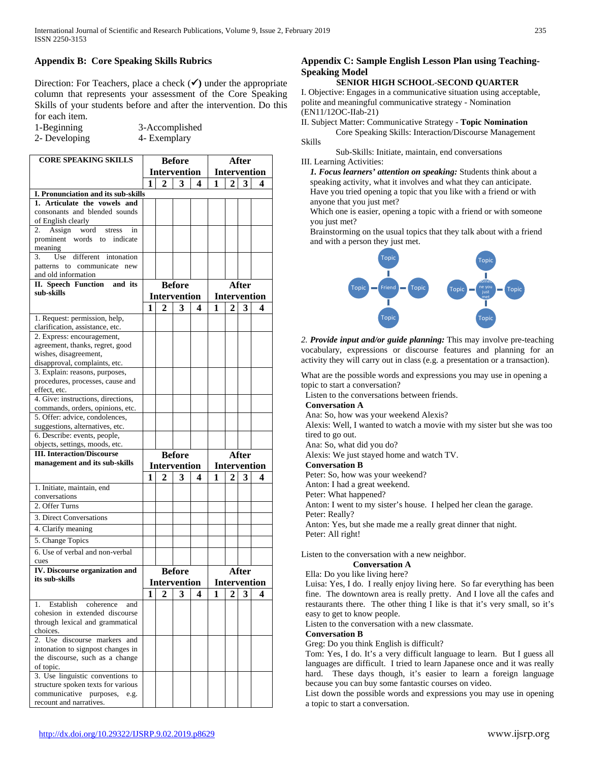# **Appendix B: Core Speaking Skills Rubrics**

Direction: For Teachers, place a check  $(\checkmark)$  under the appropriate column that represents your assessment of the Core Speaking Skills of your students before and after the intervention. Do this for each item.

1-Beginning 3-Accomplished

2- Developing 4- Exemplary

| <b>CORE SPEAKING SKILLS</b>                                       | <b>Before</b>       |              |                     | After               |   |                     |       |                     |
|-------------------------------------------------------------------|---------------------|--------------|---------------------|---------------------|---|---------------------|-------|---------------------|
|                                                                   | <b>Intervention</b> |              |                     | <b>Intervention</b> |   |                     |       |                     |
|                                                                   | 1                   | 2            | 3                   | 4                   | 1 |                     | 3     | 4                   |
| I. Pronunciation and its sub-skills                               |                     |              |                     |                     |   |                     |       |                     |
| 1. Articulate the vowels and                                      |                     |              |                     |                     |   |                     |       |                     |
| consonants and blended sounds                                     |                     |              |                     |                     |   |                     |       |                     |
| of English clearly<br>Assign<br>word<br>2.<br>stress              |                     |              |                     |                     |   |                     |       |                     |
| in<br>prominent words to indicate                                 |                     |              |                     |                     |   |                     |       |                     |
| meaning                                                           |                     |              |                     |                     |   |                     |       |                     |
| different intonation<br>Use<br>3.                                 |                     |              |                     |                     |   |                     |       |                     |
| patterns to communicate new                                       |                     |              |                     |                     |   |                     |       |                     |
| and old information                                               |                     |              |                     |                     |   |                     |       |                     |
| <b>II.</b> Speech Function<br>and its<br>sub-skills               |                     |              | <b>Before</b>       |                     |   |                     | After |                     |
|                                                                   |                     |              | <b>Intervention</b> |                     |   |                     |       | <b>Intervention</b> |
|                                                                   | 1                   | $\mathbf{2}$ | 3                   | 4                   | 1 | 2                   | 3     | 4                   |
| 1. Request: permission, help,                                     |                     |              |                     |                     |   |                     |       |                     |
| clarification, assistance, etc.                                   |                     |              |                     |                     |   |                     |       |                     |
| 2. Express: encouragement,                                        |                     |              |                     |                     |   |                     |       |                     |
| agreement, thanks, regret, good<br>wishes, disagreement,          |                     |              |                     |                     |   |                     |       |                     |
| disapproval, complaints, etc.                                     |                     |              |                     |                     |   |                     |       |                     |
| 3. Explain: reasons, purposes,                                    |                     |              |                     |                     |   |                     |       |                     |
| procedures, processes, cause and                                  |                     |              |                     |                     |   |                     |       |                     |
| effect, etc.                                                      |                     |              |                     |                     |   |                     |       |                     |
| 4. Give: instructions, directions,                                |                     |              |                     |                     |   |                     |       |                     |
| commands, orders, opinions, etc.                                  |                     |              |                     |                     |   |                     |       |                     |
| 5. Offer: advice, condolences,<br>suggestions, alternatives, etc. |                     |              |                     |                     |   |                     |       |                     |
| 6. Describe: events, people,                                      |                     |              |                     |                     |   |                     |       |                     |
| objects, settings, moods, etc.                                    |                     |              |                     |                     |   |                     |       |                     |
| <b>III. Interaction/Discourse</b>                                 |                     |              | <b>Before</b>       |                     |   |                     | After |                     |
| management and its sub-skills                                     |                     |              | <b>Intervention</b> |                     |   | <b>Intervention</b> |       |                     |
|                                                                   | 1                   | 2            | 3                   | 4                   | 1 | 2                   | 3     | 4                   |
| 1. Initiate, maintain, end                                        |                     |              |                     |                     |   |                     |       |                     |
| conversations                                                     |                     |              |                     |                     |   |                     |       |                     |
| 2. Offer Turns                                                    |                     |              |                     |                     |   |                     |       |                     |
| 3. Direct Conversations                                           |                     |              |                     |                     |   |                     |       |                     |
| 4. Clarify meaning                                                |                     |              |                     |                     |   |                     |       |                     |
| 5. Change Topics                                                  |                     |              |                     |                     |   |                     |       |                     |
| 6. Use of verbal and non-verbal                                   |                     |              |                     |                     |   |                     |       |                     |
| cues                                                              |                     |              |                     |                     |   |                     |       |                     |
| <b>IV.</b> Discourse organization and                             |                     |              | <b>Before</b>       |                     |   |                     | After |                     |
| its sub-skills                                                    |                     |              | <b>Intervention</b> |                     |   |                     |       | <b>Intervention</b> |
|                                                                   | 1                   | $\mathbf{2}$ | 3                   | 4                   | 1 | 2                   | 3     | 4                   |
| Establish<br>1.<br>coherence<br>and                               |                     |              |                     |                     |   |                     |       |                     |
| cohesion in extended discourse                                    |                     |              |                     |                     |   |                     |       |                     |
| through lexical and grammatical                                   |                     |              |                     |                     |   |                     |       |                     |
| choices.                                                          |                     |              |                     |                     |   |                     |       |                     |
| 2. Use discourse markers and                                      |                     |              |                     |                     |   |                     |       |                     |
| intonation to signpost changes in                                 |                     |              |                     |                     |   |                     |       |                     |
| the discourse, such as a change<br>of topic.                      |                     |              |                     |                     |   |                     |       |                     |
| 3. Use linguistic conventions to                                  |                     |              |                     |                     |   |                     |       |                     |
| structure spoken texts for various                                |                     |              |                     |                     |   |                     |       |                     |
| communicative purposes, e.g.                                      |                     |              |                     |                     |   |                     |       |                     |
| recount and narratives.                                           |                     |              |                     |                     |   |                     |       |                     |

# **Appendix C: Sample English Lesson Plan using Teaching-Speaking Model**

#### **SENIOR HIGH SCHOOL-SECOND QUARTER**

I. Objective: Engages in a communicative situation using acceptable, polite and meaningful communicative strategy - Nomination (EN11/12OC-IIab-21)

II. Subject Matter: Communicative Strategy - **Topic Nomination**

Core Speaking Skills: Interaction/Discourse Management Skills

Sub-Skills: Initiate, maintain, end conversations

III. Learning Activities:

*1. Focus learners' attention on speaking:* Students think about a speaking activity, what it involves and what they can anticipate. Have you tried opening a topic that you like with a friend or with anyone that you just met?

Which one is easier, opening a topic with a friend or with someone you just met?

Brainstorming on the usual topics that they talk about with a friend and with a person they just met.



*2. Provide input and/or guide planning:* This may involve pre-teaching vocabulary, expressions or discourse features and planning for an activity they will carry out in class (e.g. a presentation or a transaction).

What are the possible words and expressions you may use in opening a topic to start a conversation?

Listen to the conversations between friends.

## **Conversation A**

Ana: So, how was your weekend Alexis?

Alexis: Well, I wanted to watch a movie with my sister but she was too tired to go out.

Ana: So, what did you do?

Alexis: We just stayed home and watch TV.

#### **Conversation B**

Peter: So, how was your weekend?

Anton: I had a great weekend.

Peter: What happened?

Anton: I went to my sister's house. I helped her clean the garage.

Peter: Really?

Anton: Yes, but she made me a really great dinner that night. Peter: All right!

Listen to the conversation with a new neighbor.

## **Conversation A**

Ella: Do you like living here?

Luisa: Yes, I do. I really enjoy living here. So far everything has been fine. The downtown area is really pretty. And I love all the cafes and restaurants there. The other thing I like is that it's very small, so it's easy to get to know people.

Listen to the conversation with a new classmate.

## **Conversation B**

Greg: Do you think English is difficult?

Tom: Yes, I do. It's a very difficult language to learn. But I guess all languages are difficult. I tried to learn Japanese once and it was really hard. These days though, it's easier to learn a foreign language because you can buy some fantastic courses on video.

List down the possible words and expressions you may use in opening a topic to start a conversation.